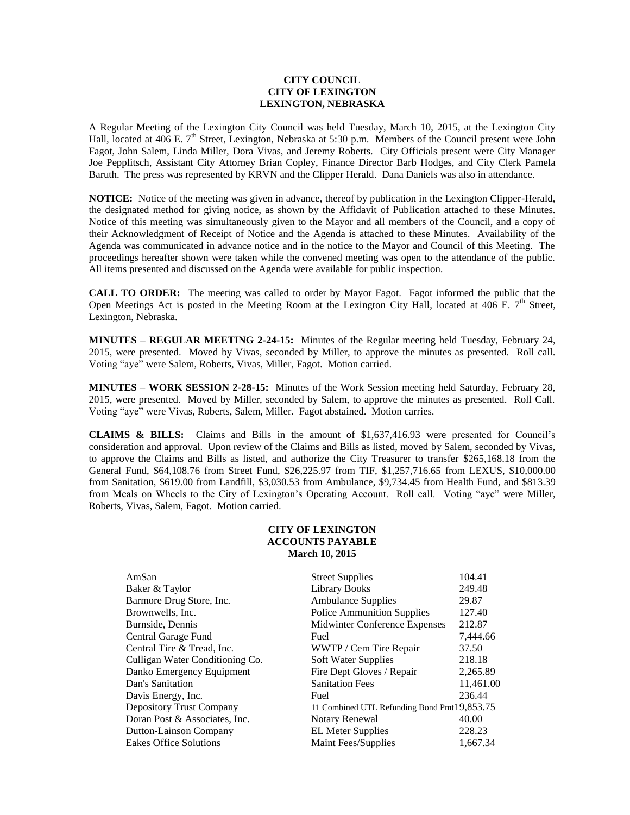## **CITY COUNCIL CITY OF LEXINGTON LEXINGTON, NEBRASKA**

A Regular Meeting of the Lexington City Council was held Tuesday, March 10, 2015, at the Lexington City Hall, located at 406 E. 7<sup>th</sup> Street, Lexington, Nebraska at 5:30 p.m. Members of the Council present were John Fagot, John Salem, Linda Miller, Dora Vivas, and Jeremy Roberts. City Officials present were City Manager Joe Pepplitsch, Assistant City Attorney Brian Copley, Finance Director Barb Hodges, and City Clerk Pamela Baruth. The press was represented by KRVN and the Clipper Herald. Dana Daniels was also in attendance.

**NOTICE:** Notice of the meeting was given in advance, thereof by publication in the Lexington Clipper-Herald, the designated method for giving notice, as shown by the Affidavit of Publication attached to these Minutes. Notice of this meeting was simultaneously given to the Mayor and all members of the Council, and a copy of their Acknowledgment of Receipt of Notice and the Agenda is attached to these Minutes. Availability of the Agenda was communicated in advance notice and in the notice to the Mayor and Council of this Meeting. The proceedings hereafter shown were taken while the convened meeting was open to the attendance of the public. All items presented and discussed on the Agenda were available for public inspection.

**CALL TO ORDER:** The meeting was called to order by Mayor Fagot. Fagot informed the public that the Open Meetings Act is posted in the Meeting Room at the Lexington City Hall, located at 406 E.  $7<sup>th</sup>$  Street, Lexington, Nebraska.

**MINUTES – REGULAR MEETING 2-24-15:** Minutes of the Regular meeting held Tuesday, February 24, 2015, were presented. Moved by Vivas, seconded by Miller, to approve the minutes as presented. Roll call. Voting "aye" were Salem, Roberts, Vivas, Miller, Fagot. Motion carried.

**MINUTES – WORK SESSION 2-28-15:** Minutes of the Work Session meeting held Saturday, February 28, 2015, were presented. Moved by Miller, seconded by Salem, to approve the minutes as presented. Roll Call. Voting "aye" were Vivas, Roberts, Salem, Miller. Fagot abstained. Motion carries.

**CLAIMS & BILLS:** Claims and Bills in the amount of \$1,637,416.93 were presented for Council's consideration and approval. Upon review of the Claims and Bills as listed, moved by Salem, seconded by Vivas, to approve the Claims and Bills as listed, and authorize the City Treasurer to transfer \$265,168.18 from the General Fund, \$64,108.76 from Street Fund, \$26,225.97 from TIF, \$1,257,716.65 from LEXUS, \$10,000.00 from Sanitation, \$619.00 from Landfill, \$3,030.53 from Ambulance, \$9,734.45 from Health Fund, and \$813.39 from Meals on Wheels to the City of Lexington's Operating Account. Roll call. Voting "aye" were Miller, Roberts, Vivas, Salem, Fagot. Motion carried.

## **CITY OF LEXINGTON ACCOUNTS PAYABLE March 10, 2015**

| AmSan                           | <b>Street Supplies</b>                      | 104.41    |
|---------------------------------|---------------------------------------------|-----------|
| Baker & Taylor                  | <b>Library Books</b>                        | 249.48    |
| Barmore Drug Store, Inc.        | <b>Ambulance Supplies</b>                   | 29.87     |
| Brownwells, Inc.                | <b>Police Ammunition Supplies</b>           | 127.40    |
| Burnside, Dennis                | Midwinter Conference Expenses               | 212.87    |
| Central Garage Fund             | Fuel                                        | 7,444.66  |
| Central Tire & Tread, Inc.      | WWTP / Cem Tire Repair                      | 37.50     |
| Culligan Water Conditioning Co. | Soft Water Supplies                         | 218.18    |
| Danko Emergency Equipment       | Fire Dept Gloves / Repair                   | 2,265.89  |
| Dan's Sanitation                | <b>Sanitation Fees</b>                      | 11,461.00 |
| Davis Energy, Inc.              | Fuel                                        | 236.44    |
| Depository Trust Company        | 11 Combined UTL Refunding Bond Pmt19,853.75 |           |
| Doran Post & Associates, Inc.   | Notary Renewal                              | 40.00     |
| Dutton-Lainson Company          | <b>EL Meter Supplies</b>                    | 228.23    |
| Eakes Office Solutions          | Maint Fees/Supplies                         | 1.667.34  |
|                                 |                                             |           |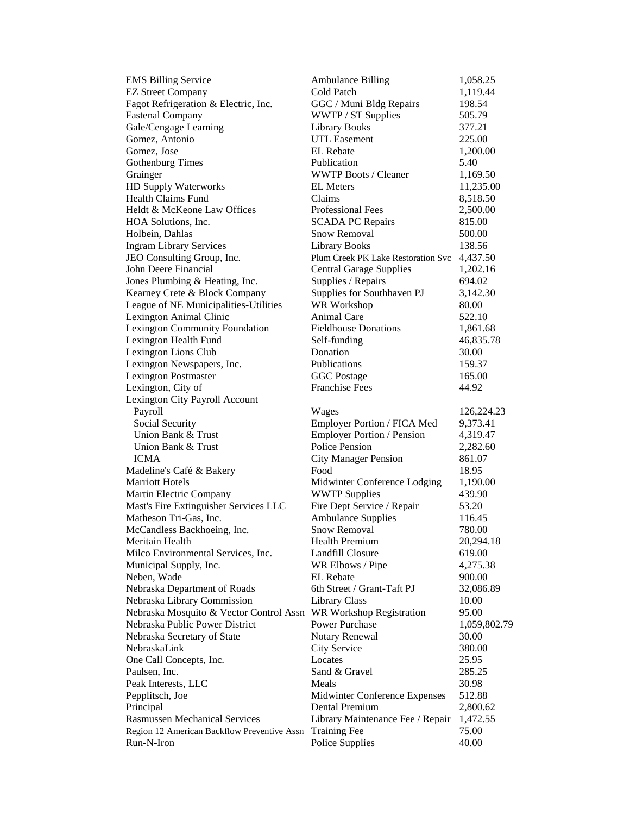| <b>EMS Billing Service</b>                  | <b>Ambulance Billing</b>           | 1,058.25     |
|---------------------------------------------|------------------------------------|--------------|
| <b>EZ Street Company</b>                    | Cold Patch                         | 1,119.44     |
| Fagot Refrigeration & Electric, Inc.        | GGC / Muni Bldg Repairs            | 198.54       |
| <b>Fastenal Company</b>                     | WWTP / ST Supplies                 | 505.79       |
| Gale/Cengage Learning                       | <b>Library Books</b>               | 377.21       |
| Gomez, Antonio                              | <b>UTL Easement</b>                | 225.00       |
| Gomez. Jose                                 | <b>EL</b> Rebate                   | 1,200.00     |
| <b>Gothenburg Times</b>                     | Publication                        | 5.40         |
| Grainger                                    | <b>WWTP Boots / Cleaner</b>        | 1,169.50     |
| HD Supply Waterworks                        | <b>EL</b> Meters                   | 11,235.00    |
| <b>Health Claims Fund</b>                   | Claims                             | 8,518.50     |
| Heldt & McKeone Law Offices                 | Professional Fees                  | 2,500.00     |
| HOA Solutions, Inc.                         | <b>SCADA PC Repairs</b>            | 815.00       |
| Holbein, Dahlas                             | <b>Snow Removal</b>                | 500.00       |
| <b>Ingram Library Services</b>              | Library Books                      | 138.56       |
| JEO Consulting Group, Inc.                  | Plum Creek PK Lake Restoration Svc | 4,437.50     |
| John Deere Financial                        | <b>Central Garage Supplies</b>     | 1,202.16     |
| Jones Plumbing & Heating, Inc.              | Supplies / Repairs                 | 694.02       |
| Kearney Crete & Block Company               | Supplies for Southhaven PJ         | 3,142.30     |
| League of NE Municipalities-Utilities       | WR Workshop                        | 80.00        |
| Lexington Animal Clinic                     | <b>Animal Care</b>                 | 522.10       |
| Lexington Community Foundation              | <b>Fieldhouse Donations</b>        | 1,861.68     |
| Lexington Health Fund                       | Self-funding                       | 46,835.78    |
| Lexington Lions Club                        | Donation                           | 30.00        |
| Lexington Newspapers, Inc.                  | Publications                       | 159.37       |
| <b>Lexington Postmaster</b>                 | <b>GGC</b> Postage                 | 165.00       |
| Lexington, City of                          | <b>Franchise Fees</b>              | 44.92        |
| Lexington City Payroll Account              |                                    |              |
| Payroll                                     | Wages                              | 126,224.23   |
| Social Security                             | Employer Portion / FICA Med        | 9,373.41     |
| Union Bank & Trust                          | Employer Portion / Pension         | 4,319.47     |
| Union Bank & Trust                          | Police Pension                     | 2,282.60     |
| <b>ICMA</b>                                 | <b>City Manager Pension</b>        | 861.07       |
| Madeline's Café & Bakery                    | Food                               | 18.95        |
| <b>Marriott Hotels</b>                      | Midwinter Conference Lodging       | 1,190.00     |
| Martin Electric Company                     | <b>WWTP Supplies</b>               | 439.90       |
| Mast's Fire Extinguisher Services LLC       | Fire Dept Service / Repair         | 53.20        |
| Matheson Tri-Gas, Inc.                      | <b>Ambulance Supplies</b>          | 116.45       |
| McCandless Backhoeing, Inc.                 | <b>Snow Removal</b>                | 780.00       |
| Meritain Health                             | <b>Health Premium</b>              | 20,294.18    |
| Milco Environmental Services, Inc.          | Landfill Closure                   | 619.00       |
| Municipal Supply, Inc.                      | WR Elbows / Pipe                   | 4,275.38     |
| Neben, Wade                                 | <b>EL</b> Rebate                   | 900.00       |
| Nebraska Department of Roads                | 6th Street / Grant-Taft PJ         | 32,086.89    |
| Nebraska Library Commission                 | <b>Library Class</b>               | 10.00        |
| Nebraska Mosquito & Vector Control Assn     | WR Workshop Registration           | 95.00        |
| Nebraska Public Power District              | Power Purchase                     | 1,059,802.79 |
| Nebraska Secretary of State                 | Notary Renewal                     | 30.00        |
| NebraskaLink                                | City Service                       | 380.00       |
| One Call Concepts, Inc.                     | Locates                            | 25.95        |
| Paulsen, Inc.                               | Sand & Gravel                      | 285.25       |
| Peak Interests, LLC                         | Meals                              | 30.98        |
| Pepplitsch, Joe                             | Midwinter Conference Expenses      | 512.88       |
| Principal                                   | Dental Premium                     | 2,800.62     |
| <b>Rasmussen Mechanical Services</b>        | Library Maintenance Fee / Repair   | 1,472.55     |
| Region 12 American Backflow Preventive Assn | <b>Training Fee</b>                | 75.00        |
| Run-N-Iron                                  | Police Supplies                    | 40.00        |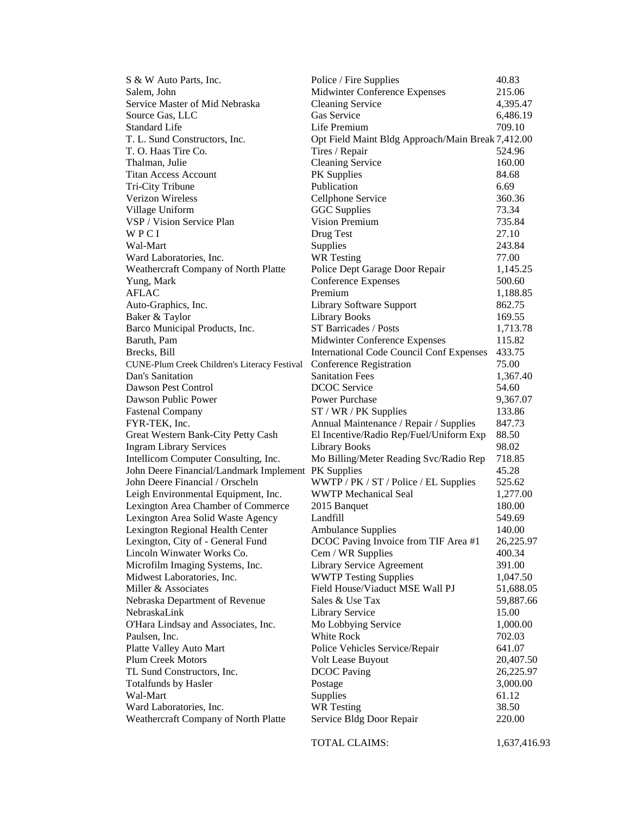| S & W Auto Parts, Inc.                              | Police / Fire Supplies                            | 40.83     |
|-----------------------------------------------------|---------------------------------------------------|-----------|
| Salem, John                                         | Midwinter Conference Expenses                     | 215.06    |
| Service Master of Mid Nebraska                      | <b>Cleaning Service</b>                           | 4,395.47  |
| Source Gas, LLC                                     | Gas Service                                       | 6,486.19  |
| Standard Life                                       | Life Premium                                      | 709.10    |
| T. L. Sund Constructors, Inc.                       | Opt Field Maint Bldg Approach/Main Break 7,412.00 |           |
| T. O. Haas Tire Co.                                 | Tires / Repair                                    | 524.96    |
| Thalman, Julie                                      | <b>Cleaning Service</b>                           | 160.00    |
| <b>Titan Access Account</b>                         | PK Supplies                                       | 84.68     |
| Tri-City Tribune                                    | Publication                                       | 6.69      |
| Verizon Wireless                                    | Cellphone Service                                 | 360.36    |
| Village Uniform                                     | <b>GGC</b> Supplies                               | 73.34     |
| VSP / Vision Service Plan                           | <b>Vision Premium</b>                             | 735.84    |
| WPCI                                                | Drug Test                                         | 27.10     |
| Wal-Mart                                            | Supplies                                          | 243.84    |
| Ward Laboratories, Inc.                             | <b>WR</b> Testing                                 | 77.00     |
| Weathercraft Company of North Platte                | Police Dept Garage Door Repair                    | 1,145.25  |
| Yung, Mark                                          | <b>Conference Expenses</b>                        | 500.60    |
| <b>AFLAC</b>                                        | Premium                                           | 1,188.85  |
| Auto-Graphics, Inc.                                 | Library Software Support                          | 862.75    |
| Baker & Taylor                                      | <b>Library Books</b>                              | 169.55    |
| Barco Municipal Products, Inc.                      | ST Barricades / Posts                             | 1,713.78  |
| Baruth, Pam                                         | Midwinter Conference Expenses                     | 115.82    |
| Brecks, Bill                                        | <b>International Code Council Conf Expenses</b>   | 433.75    |
| CUNE-Plum Creek Children's Literacy Festival        | Conference Registration                           | 75.00     |
| Dan's Sanitation                                    | <b>Sanitation Fees</b>                            | 1,367.40  |
| Dawson Pest Control                                 | <b>DCOC</b> Service                               | 54.60     |
| Dawson Public Power                                 | Power Purchase                                    | 9,367.07  |
| <b>Fastenal Company</b>                             | $ST / WR / PK$ Supplies                           | 133.86    |
| FYR-TEK, Inc.                                       | Annual Maintenance / Repair / Supplies            | 847.73    |
| Great Western Bank-City Petty Cash                  | El Incentive/Radio Rep/Fuel/Uniform Exp           | 88.50     |
| <b>Ingram Library Services</b>                      | <b>Library Books</b>                              | 98.02     |
| Intellicom Computer Consulting, Inc.                | Mo Billing/Meter Reading Svc/Radio Rep            | 718.85    |
| John Deere Financial/Landmark Implement PK Supplies |                                                   | 45.28     |
| John Deere Financial / Orscheln                     | WWTP / PK / ST / Police / EL Supplies             | 525.62    |
| Leigh Environmental Equipment, Inc.                 | <b>WWTP</b> Mechanical Seal                       | 1,277.00  |
| Lexington Area Chamber of Commerce                  | 2015 Banquet                                      | 180.00    |
| Lexington Area Solid Waste Agency                   | Landfill                                          | 549.69    |
| Lexington Regional Health Center                    | <b>Ambulance Supplies</b>                         | 140.00    |
| Lexington, City of - General Fund                   | DCOC Paving Invoice from TIF Area #1              | 26,225.97 |
| Lincoln Winwater Works Co.                          | Cem / WR Supplies                                 | 400.34    |
| Microfilm Imaging Systems, Inc.                     | Library Service Agreement                         | 391.00    |
| Midwest Laboratories, Inc.                          | <b>WWTP Testing Supplies</b>                      | 1,047.50  |
| Miller & Associates                                 | Field House/Viaduct MSE Wall PJ                   | 51,688.05 |
| Nebraska Department of Revenue                      | Sales & Use Tax                                   | 59,887.66 |
| NebraskaLink                                        | <b>Library Service</b>                            | 15.00     |
| O'Hara Lindsay and Associates, Inc.                 | Mo Lobbying Service                               | 1,000.00  |
| Paulsen, Inc.                                       | White Rock                                        | 702.03    |
| Platte Valley Auto Mart                             | Police Vehicles Service/Repair                    | 641.07    |
| Plum Creek Motors                                   | Volt Lease Buyout                                 | 20,407.50 |
| TL Sund Constructors, Inc.                          | <b>DCOC</b> Paving                                | 26,225.97 |
| <b>Totalfunds by Hasler</b>                         | Postage                                           | 3,000.00  |
| Wal-Mart                                            | Supplies                                          | 61.12     |
| Ward Laboratories, Inc.                             | <b>WR</b> Testing                                 | 38.50     |
| Weathercraft Company of North Platte                | Service Bldg Door Repair                          | 220.00    |
|                                                     |                                                   |           |

TOTAL CLAIMS: 1,637,416.93